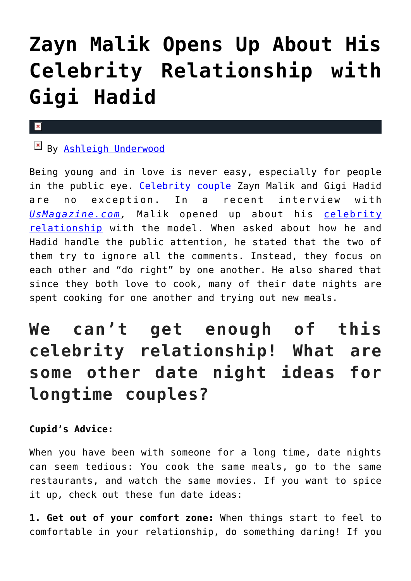# **[Zayn Malik Opens Up About His](https://cupidspulse.com/120735/zayn-malik-celebrity-relationship-with-gigi-hadid/) [Celebrity Relationship with](https://cupidspulse.com/120735/zayn-malik-celebrity-relationship-with-gigi-hadid/) [Gigi Hadid](https://cupidspulse.com/120735/zayn-malik-celebrity-relationship-with-gigi-hadid/)**

#### $\mathbf x$

## By [Ashleigh Underwood](http://cupidspulse.com/120629/ashleigh-underwood/)

Being young and in love is never easy, especially for people in the public eye. [Celebrity couple Z](http://cupidspulse.com/celebrity-news/celebrity-dating/)ayn Malik and Gigi Hadid are no exception. In a recent interview with *[UsMagazine.com,](http://www.usmagazine.com/celebrity-news/news/zayn-malik-talks-gigi-hadid-and-one-direction-interview-w502574)* Malik opened up about his [celebrity](http://cupidspulse.com/celebrity-news/celebrity-dating/) [relationship](http://cupidspulse.com/celebrity-news/celebrity-dating/) with the model. When asked about how he and Hadid handle the public attention, he stated that the two of them try to ignore all the comments. Instead, they focus on each other and "do right" by one another. He also shared that since they both love to cook, many of their date nights are spent cooking for one another and trying out new meals.

## **We can't get enough of this celebrity relationship! What are some other date night ideas for longtime couples?**

### **Cupid's Advice:**

When you have been with someone for a long time, date nights can seem tedious: You cook the same meals, go to the same restaurants, and watch the same movies. If you want to spice it up, check out these fun date ideas:

**1. Get out of your comfort zone:** When things start to feel to comfortable in your relationship, do something daring! If you